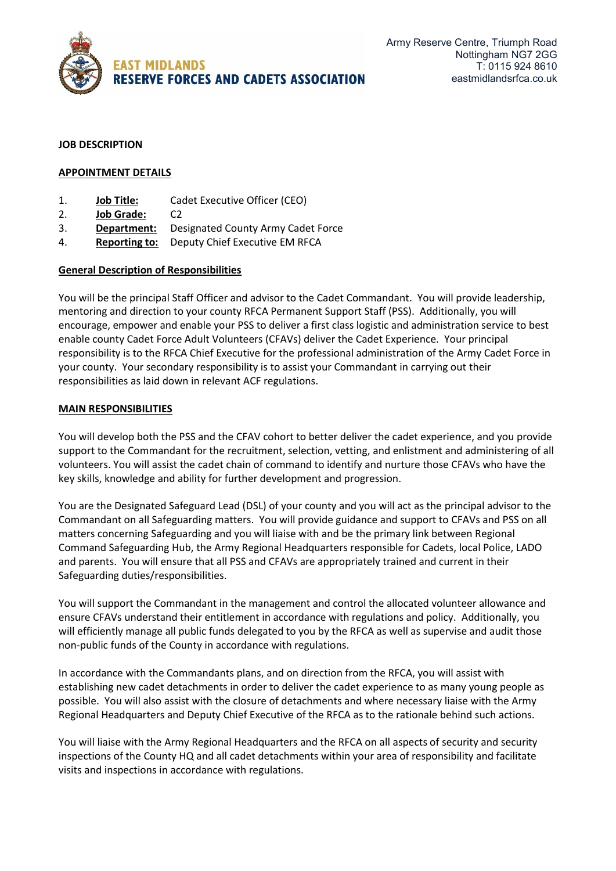

### **JOB DESCRIPTION**

# **APPOINTMENT DETAILS**

- 1. **Job Title:** Cadet Executive Officer (CEO)
- 2. **Job Grade:** C2
- 3. **Department:** Designated County Army Cadet Force
- 4. **Reporting to:** Deputy Chief Executive EM RFCA

### **General Description of Responsibilities**

You will be the principal Staff Officer and advisor to the Cadet Commandant. You will provide leadership, mentoring and direction to your county RFCA Permanent Support Staff (PSS). Additionally, you will encourage, empower and enable your PSS to deliver a first class logistic and administration service to best enable county Cadet Force Adult Volunteers (CFAVs) deliver the Cadet Experience. Your principal responsibility is to the RFCA Chief Executive for the professional administration of the Army Cadet Force in your county. Your secondary responsibility is to assist your Commandant in carrying out their responsibilities as laid down in relevant ACF regulations.

### **MAIN RESPONSIBILITIES**

You will develop both the PSS and the CFAV cohort to better deliver the cadet experience, and you provide support to the Commandant for the recruitment, selection, vetting, and enlistment and administering of all volunteers. You will assist the cadet chain of command to identify and nurture those CFAVs who have the key skills, knowledge and ability for further development and progression.

You are the Designated Safeguard Lead (DSL) of your county and you will act as the principal advisor to the Commandant on all Safeguarding matters. You will provide guidance and support to CFAVs and PSS on all matters concerning Safeguarding and you will liaise with and be the primary link between Regional Command Safeguarding Hub, the Army Regional Headquarters responsible for Cadets, local Police, LADO and parents. You will ensure that all PSS and CFAVs are appropriately trained and current in their Safeguarding duties/responsibilities.

You will support the Commandant in the management and control the allocated volunteer allowance and ensure CFAVs understand their entitlement in accordance with regulations and policy. Additionally, you will efficiently manage all public funds delegated to you by the RFCA as well as supervise and audit those non-public funds of the County in accordance with regulations.

In accordance with the Commandants plans, and on direction from the RFCA, you will assist with establishing new cadet detachments in order to deliver the cadet experience to as many young people as possible. You will also assist with the closure of detachments and where necessary liaise with the Army Regional Headquarters and Deputy Chief Executive of the RFCA as to the rationale behind such actions.

You will liaise with the Army Regional Headquarters and the RFCA on all aspects of security and security inspections of the County HQ and all cadet detachments within your area of responsibility and facilitate visits and inspections in accordance with regulations.